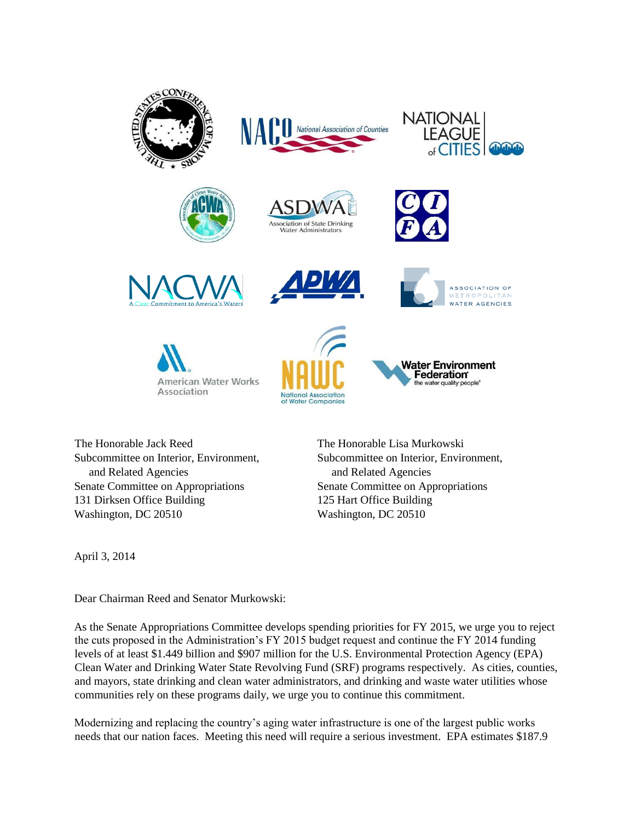

The Honorable Jack Reed The Honorable Lisa Murkowski and Related Agencies and Related Agencies Senate Committee on Appropriations Senate Committee on Appropriations 131 Dirksen Office Building 125 Hart Office Building Washington, DC 20510 Washington, DC 20510

Subcommittee on Interior, Environment, Subcommittee on Interior, Environment,

April 3, 2014

Dear Chairman Reed and Senator Murkowski:

As the Senate Appropriations Committee develops spending priorities for FY 2015, we urge you to reject the cuts proposed in the Administration's FY 2015 budget request and continue the FY 2014 funding levels of at least \$1.449 billion and \$907 million for the U.S. Environmental Protection Agency (EPA) Clean Water and Drinking Water State Revolving Fund (SRF) programs respectively. As cities, counties, and mayors, state drinking and clean water administrators, and drinking and waste water utilities whose communities rely on these programs daily, we urge you to continue this commitment.

Modernizing and replacing the country's aging water infrastructure is one of the largest public works needs that our nation faces. Meeting this need will require a serious investment. EPA estimates \$187.9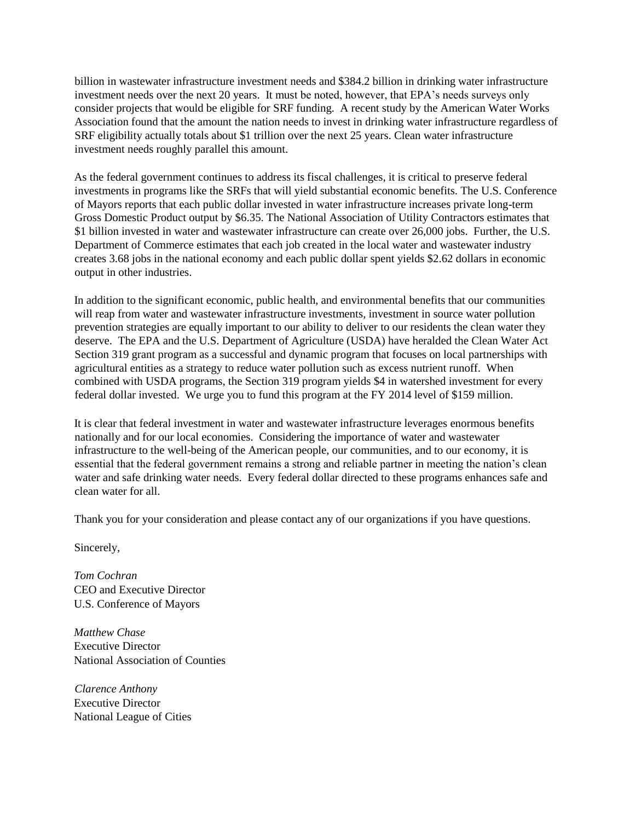billion in wastewater infrastructure investment needs and \$384.2 billion in drinking water infrastructure investment needs over the next 20 years. It must be noted, however, that EPA's needs surveys only consider projects that would be eligible for SRF funding. A recent study by the American Water Works Association found that the amount the nation needs to invest in drinking water infrastructure regardless of SRF eligibility actually totals about \$1 trillion over the next 25 years. Clean water infrastructure investment needs roughly parallel this amount.

As the federal government continues to address its fiscal challenges, it is critical to preserve federal investments in programs like the SRFs that will yield substantial economic benefits. The U.S. Conference of Mayors reports that each public dollar invested in water infrastructure increases private long-term Gross Domestic Product output by \$6.35. The National Association of Utility Contractors estimates that \$1 billion invested in water and wastewater infrastructure can create over 26,000 jobs. Further, the U.S. Department of Commerce estimates that each job created in the local water and wastewater industry creates 3.68 jobs in the national economy and each public dollar spent yields \$2.62 dollars in economic output in other industries.

In addition to the significant economic, public health, and environmental benefits that our communities will reap from water and wastewater infrastructure investments, investment in source water pollution prevention strategies are equally important to our ability to deliver to our residents the clean water they deserve. The EPA and the U.S. Department of Agriculture (USDA) have heralded the Clean Water Act Section 319 grant program as a successful and dynamic program that focuses on local partnerships with agricultural entities as a strategy to reduce water pollution such as excess nutrient runoff. When combined with USDA programs, the Section 319 program yields \$4 in watershed investment for every federal dollar invested. We urge you to fund this program at the FY 2014 level of \$159 million.

It is clear that federal investment in water and wastewater infrastructure leverages enormous benefits nationally and for our local economies. Considering the importance of water and wastewater infrastructure to the well-being of the American people, our communities, and to our economy, it is essential that the federal government remains a strong and reliable partner in meeting the nation's clean water and safe drinking water needs. Every federal dollar directed to these programs enhances safe and clean water for all.

Thank you for your consideration and please contact any of our organizations if you have questions.

Sincerely,

*Tom Cochran*  CEO and Executive Director U.S. Conference of Mayors

*Matthew Chase*  Executive Director National Association of Counties

*Clarence Anthony*  Executive Director National League of Cities